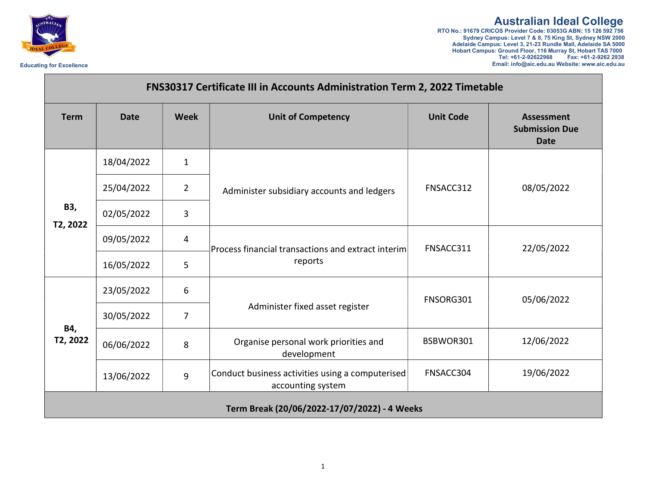

## Australian Ideal College

RTO No.: 91679 CRICOS Provider Code: 03053G ABN: 15 126 592 756 Sydney Campus: Level 7 & 8, 75 King St, Sydney NSW 2000 Adelaide Campus: Level 3, 21-23 Rundle Mall, Adelaide SA 5000 Hobart Campus: Ground Floor, 116 Murray St, Hobart TAS 7000 Tel: +61-2-92622968 Fax: +61-2-9262 2938 Educating for Excellence Email: info@aic.edu.au Website: www.aic.edu.au

| <b>FNS30317 Certificate III in Accounts Administration Term 2, 2022 Timetable</b> |             |                |                                                                       |                  |                                                           |
|-----------------------------------------------------------------------------------|-------------|----------------|-----------------------------------------------------------------------|------------------|-----------------------------------------------------------|
| <b>Term</b>                                                                       | <b>Date</b> | <b>Week</b>    | <b>Unit of Competency</b>                                             | <b>Unit Code</b> | <b>Assessment</b><br><b>Submission Due</b><br><b>Date</b> |
| B3,<br>T2, 2022                                                                   | 18/04/2022  | $\mathbf{1}$   | Administer subsidiary accounts and ledgers                            | FNSACC312        | 08/05/2022                                                |
|                                                                                   | 25/04/2022  | $\overline{2}$ |                                                                       |                  |                                                           |
|                                                                                   | 02/05/2022  | $\overline{3}$ |                                                                       |                  |                                                           |
|                                                                                   | 09/05/2022  | 4              | $ $ Process financial transactions and extract interim<br>reports     | FNSACC311        | 22/05/2022                                                |
|                                                                                   | 16/05/2022  | 5              |                                                                       |                  |                                                           |
| B4,<br>T2, 2022                                                                   | 23/05/2022  | 6              | Administer fixed asset register                                       | FNSORG301        | 05/06/2022                                                |
|                                                                                   | 30/05/2022  | 7              |                                                                       |                  |                                                           |
|                                                                                   | 06/06/2022  | 8              | Organise personal work priorities and<br>development                  | BSBWOR301        | 12/06/2022                                                |
|                                                                                   | 13/06/2022  | $\overline{9}$ | Conduct business activities using a computerised<br>accounting system | FNSACC304        | 19/06/2022                                                |
|                                                                                   |             |                | Term Break (20/06/2022-17/07/2022) - 4 Weeks                          |                  |                                                           |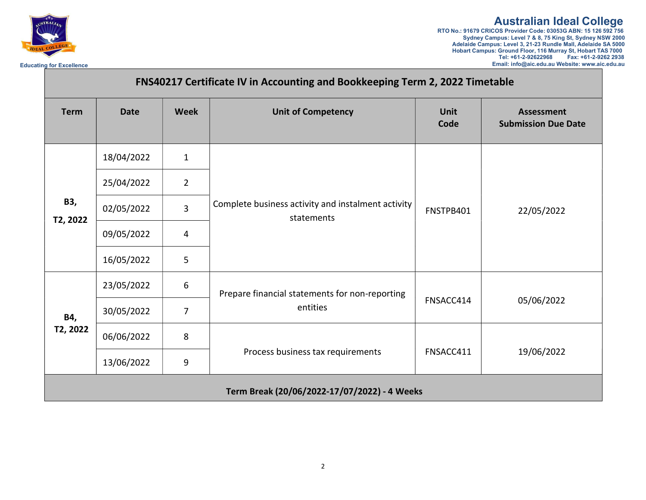

## Australian Ideal College RTO No.: 91679 CRICOS Provider Code: 03053G ABN: 15 126 592 756 Sydney Campus: Level 7 & 8, 75 King St, Sydney NSW 2000 Adelaide Campus: Level 3, 21-23 Rundle Mall, Adelaide SA 5000 Hobart Campus: Ground Floor, 116 Murray St, Hobart TAS 7000 Tel: +61-2-92622968 Fax: +61-2-9262 2938 Educating for Excellence **Excellence** Email: info@aic.edu.au Website: www.aic.edu.au Website: www.aic.edu.au Website: www.aic.edu.au

| FNS40217 Certificate IV in Accounting and Bookkeeping Term 2, 2022 Timetable |             |                |                                                                  |                     |                                                 |
|------------------------------------------------------------------------------|-------------|----------------|------------------------------------------------------------------|---------------------|-------------------------------------------------|
| <b>Term</b>                                                                  | <b>Date</b> | <b>Week</b>    | <b>Unit of Competency</b>                                        | <b>Unit</b><br>Code | <b>Assessment</b><br><b>Submission Due Date</b> |
| B3,<br>T2, 2022                                                              | 18/04/2022  | $\mathbf{1}$   | Complete business activity and instalment activity<br>statements | FNSTPB401           | 22/05/2022                                      |
|                                                                              | 25/04/2022  | $\overline{2}$ |                                                                  |                     |                                                 |
|                                                                              | 02/05/2022  | $\overline{3}$ |                                                                  |                     |                                                 |
|                                                                              | 09/05/2022  | 4              |                                                                  |                     |                                                 |
|                                                                              | 16/05/2022  | 5              |                                                                  |                     |                                                 |
| B4,<br>T2, 2022                                                              | 23/05/2022  | 6              | Prepare financial statements for non-reporting<br>entities       | FNSACC414           | 05/06/2022                                      |
|                                                                              | 30/05/2022  | $\overline{7}$ |                                                                  |                     |                                                 |
|                                                                              | 06/06/2022  | 8              | Process business tax requirements                                | FNSACC411           | 19/06/2022                                      |
|                                                                              | 13/06/2022  | 9              |                                                                  |                     |                                                 |
| Term Break (20/06/2022-17/07/2022) - 4 Weeks                                 |             |                |                                                                  |                     |                                                 |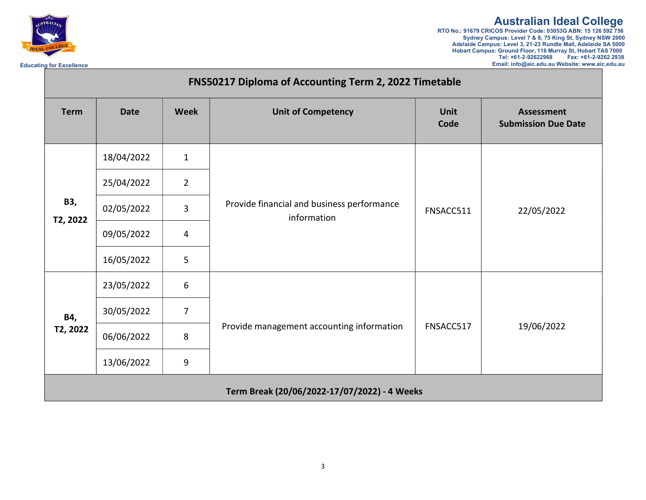

## Australian Ideal College

RTO No.: 91679 CRICOS Provider Code: 03053G ABN: 15 126 592 756 Sydney Campus: Level 7 & 8, 75 King St, Sydney NSW 2000 Adelaide Campus: Level 3, 21-23 Rundle Mall, Adelaide SA 5000 Hobart Campus: Ground Floor, 116 Murray St, Hobart TAS 7000 Tel: +61-2-92622968 Fax: +61-2-9262 2938 Educating for Excellence **Excellence** Excellence Excellence Email: info@aic.edu.au Website: www.aic.edu.au Website: www.aic.edu.au

| FNS50217 Diploma of Accounting Term 2, 2022 Timetable |             |                |                                                           |                     |                                                 |
|-------------------------------------------------------|-------------|----------------|-----------------------------------------------------------|---------------------|-------------------------------------------------|
| <b>Term</b>                                           | <b>Date</b> | <b>Week</b>    | <b>Unit of Competency</b>                                 | <b>Unit</b><br>Code | <b>Assessment</b><br><b>Submission Due Date</b> |
| B3,<br>T2, 2022                                       | 18/04/2022  | $\mathbf{1}$   | Provide financial and business performance<br>information | FNSACC511           | 22/05/2022                                      |
|                                                       | 25/04/2022  | $\overline{2}$ |                                                           |                     |                                                 |
|                                                       | 02/05/2022  | 3              |                                                           |                     |                                                 |
|                                                       | 09/05/2022  | 4              |                                                           |                     |                                                 |
|                                                       | 16/05/2022  | 5              |                                                           |                     |                                                 |
| B4,<br>T2, 2022                                       | 23/05/2022  | 6              | Provide management accounting information                 | FNSACC517           | 19/06/2022                                      |
|                                                       | 30/05/2022  | $\overline{7}$ |                                                           |                     |                                                 |
|                                                       | 06/06/2022  | 8              |                                                           |                     |                                                 |
|                                                       | 13/06/2022  | 9              |                                                           |                     |                                                 |
|                                                       |             |                | Term Break (20/06/2022-17/07/2022) - 4 Weeks              |                     |                                                 |